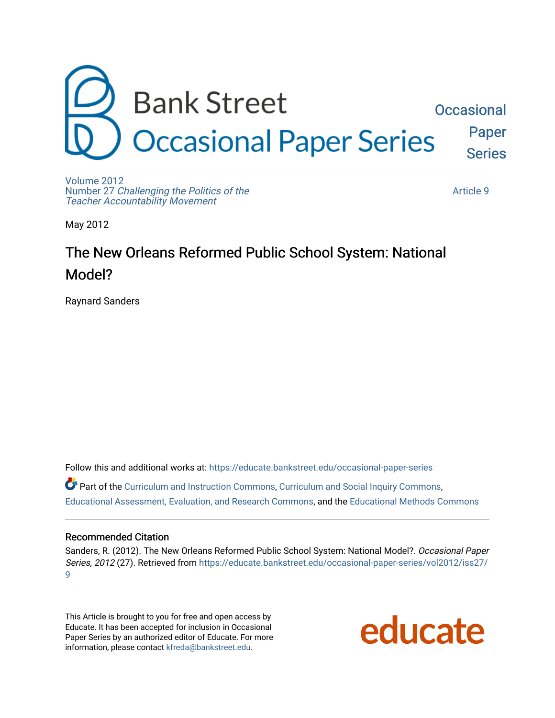

[Volume 2012](https://educate.bankstreet.edu/occasional-paper-series/vol2012)  Number 27 [Challenging the Politics of the](https://educate.bankstreet.edu/occasional-paper-series/vol2012/iss27)  [Teacher Accountability Movement](https://educate.bankstreet.edu/occasional-paper-series/vol2012/iss27)

[Article 9](https://educate.bankstreet.edu/occasional-paper-series/vol2012/iss27/9) 

May 2012

# The New Orleans Reformed Public School System: National Model?

Raynard Sanders

Follow this and additional works at: [https://educate.bankstreet.edu/occasional-paper-series](https://educate.bankstreet.edu/occasional-paper-series?utm_source=educate.bankstreet.edu%2Foccasional-paper-series%2Fvol2012%2Fiss27%2F9&utm_medium=PDF&utm_campaign=PDFCoverPages)  Part of the [Curriculum and Instruction Commons,](http://network.bepress.com/hgg/discipline/786?utm_source=educate.bankstreet.edu%2Foccasional-paper-series%2Fvol2012%2Fiss27%2F9&utm_medium=PDF&utm_campaign=PDFCoverPages) [Curriculum and Social Inquiry Commons,](http://network.bepress.com/hgg/discipline/1038?utm_source=educate.bankstreet.edu%2Foccasional-paper-series%2Fvol2012%2Fiss27%2F9&utm_medium=PDF&utm_campaign=PDFCoverPages) [Educational Assessment, Evaluation, and Research Commons,](http://network.bepress.com/hgg/discipline/796?utm_source=educate.bankstreet.edu%2Foccasional-paper-series%2Fvol2012%2Fiss27%2F9&utm_medium=PDF&utm_campaign=PDFCoverPages) and the [Educational Methods Commons](http://network.bepress.com/hgg/discipline/1227?utm_source=educate.bankstreet.edu%2Foccasional-paper-series%2Fvol2012%2Fiss27%2F9&utm_medium=PDF&utm_campaign=PDFCoverPages) 

#### Recommended Citation

Sanders, R. (2012). The New Orleans Reformed Public School System: National Model?. Occasional Paper Series, 2012 (27). Retrieved from [https://educate.bankstreet.edu/occasional-paper-series/vol2012/iss27/](https://educate.bankstreet.edu/occasional-paper-series/vol2012/iss27/9?utm_source=educate.bankstreet.edu%2Foccasional-paper-series%2Fvol2012%2Fiss27%2F9&utm_medium=PDF&utm_campaign=PDFCoverPages) [9](https://educate.bankstreet.edu/occasional-paper-series/vol2012/iss27/9?utm_source=educate.bankstreet.edu%2Foccasional-paper-series%2Fvol2012%2Fiss27%2F9&utm_medium=PDF&utm_campaign=PDFCoverPages) 

This Article is brought to you for free and open access by Educate. It has been accepted for inclusion in Occasional Paper Series by an authorized editor of Educate. For more information, please contact [kfreda@bankstreet.edu.](mailto:kfreda@bankstreet.edu)

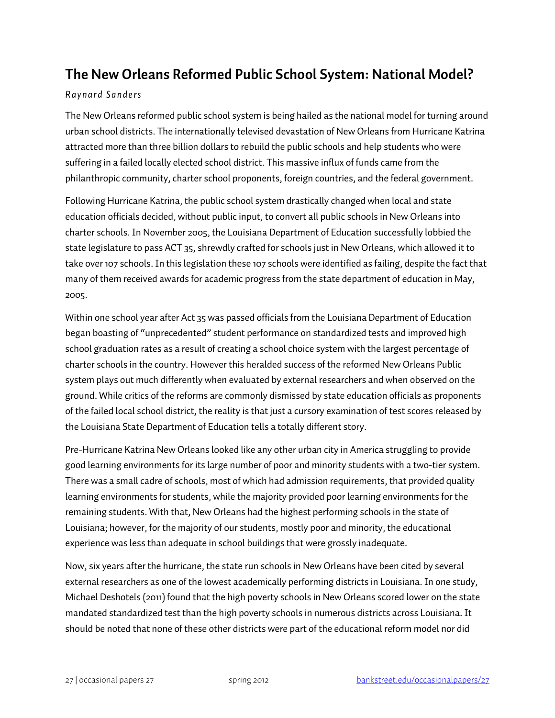## **The New Orleans Reformed Public School System: National Model?**

### *Raynard Sanders*

The New Orleans reformed public school system is being hailed as the national model for turning around urban school districts. The internationally televised devastation of New Orleans from Hurricane Katrina attracted more than three billion dollars to rebuild the public schools and help students who were suffering in a failed locally elected school district. This massive influx of funds came from the philanthropic community, charter school proponents, foreign countries, and the federal government.

Following Hurricane Katrina, the public school system drastically changed when local and state education officials decided, without public input, to convert all public schools in New Orleans into charter schools. In November 2005, the Louisiana Department of Education successfully lobbied the state legislature to pass ACT 35, shrewdly crafted for schools just in New Orleans, which allowed it to take over 107 schools. In this legislation these 107 schools were identified as failing, despite the fact that many of them received awards for academic progress from the state department of education in May, 2005.

Within one school year after Act 35 was passed officials from the Louisiana Department of Education began boasting of "unprecedented" student performance on standardized tests and improved high school graduation rates as a result of creating a school choice system with the largest percentage of charter schools in the country. However this heralded success of the reformed New Orleans Public system plays out much differently when evaluated by external researchers and when observed on the ground. While critics of the reforms are commonly dismissed by state education officials as proponents of the failed local school district, the reality is that just a cursory examination of test scores released by the Louisiana State Department of Education tells a totally different story.

Pre-Hurricane Katrina New Orleans looked like any other urban city in America struggling to provide good learning environments for its large number of poor and minority students with a two-tier system. There was a small cadre of schools, most of which had admission requirements, that provided quality learning environments for students, while the majority provided poor learning environments for the remaining students. With that, New Orleans had the highest performing schools in the state of Louisiana; however, for the majority of our students, mostly poor and minority, the educational experience was less than adequate in school buildings that were grossly inadequate.

Now, six years after the hurricane, the state run schools in New Orleans have been cited by several external researchers as one of the lowest academically performing districts in Louisiana. In one study, Michael Deshotels (2011) found that the high poverty schools in New Orleans scored lower on the state mandated standardized test than the high poverty schools in numerous districts across Louisiana. It should be noted that none of these other districts were part of the educational reform model nor did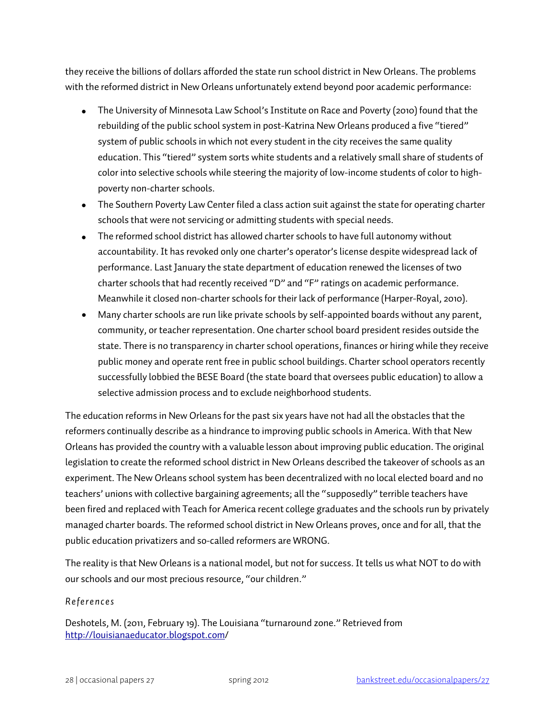they receive the billions of dollars afforded the state run school district in New Orleans. The problems with the reformed district in New Orleans unfortunately extend beyond poor academic performance:

- The University of Minnesota Law School's Institute on Race and Poverty (2010) found that the rebuilding of the public school system in post-Katrina New Orleans produced a five "tiered" system of public schools in which not every student in the city receives the same quality education. This "tiered" system sorts white students and a relatively small share of students of color into selective schools while steering the majority of low-income students of color to highpoverty non-charter schools.
- The Southern Poverty Law Center filed a class action suit against the state for operating charter schools that were not servicing or admitting students with special needs.
- The reformed school district has allowed charter schools to have full autonomy without accountability. It has revoked only one charter's operator's license despite widespread lack of performance. Last January the state department of education renewed the licenses of two charter schools that had recently received "D" and "F" ratings on academic performance. Meanwhile it closed non-charter schools for their lack of performance (Harper-Royal, 2010).
- Many charter schools are run like private schools by self-appointed boards without any parent, community, or teacher representation. One charter school board president resides outside the state. There is no transparency in charter school operations, finances or hiring while they receive public money and operate rent free in public school buildings. Charter school operators recently successfully lobbied the BESE Board (the state board that oversees public education) to allow a selective admission process and to exclude neighborhood students.

The education reforms in New Orleans for the past six years have not had all the obstacles that the reformers continually describe as a hindrance to improving public schools in America. With that New Orleans has provided the country with a valuable lesson about improving public education. The original legislation to create the reformed school district in New Orleans described the takeover of schools as an experiment. The New Orleans school system has been decentralized with no local elected board and no teachers' unions with collective bargaining agreements; all the "supposedly" terrible teachers have been fired and replaced with Teach for America recent college graduates and the schools run by privately managed charter boards. The reformed school district in New Orleans proves, once and for all, that the public education privatizers and so-called reformers are WRONG.

The reality is that New Orleans is a national model, but not for success. It tells us what NOT to do with our schools and our most precious resource, "our children."

### *References*

Deshotels, M. (2011, February 19). The Louisiana "turnaround zone." Retrieved from <http://louisianaeducator.blogspot.com/>